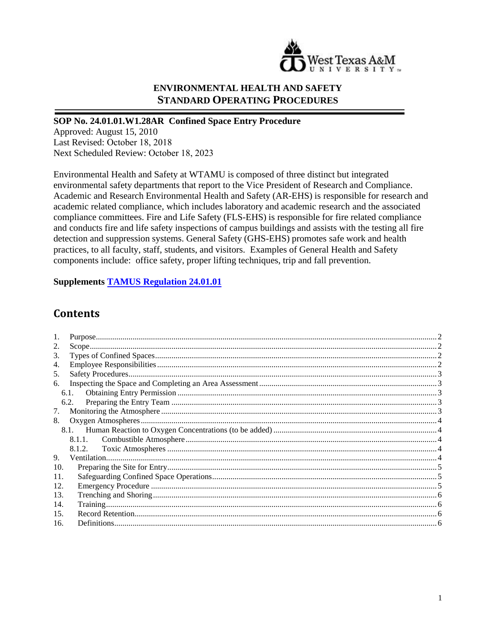

## **ENVIRONMENTAL HEALTH AND SAFETY STANDARD OPERATING PROCEDURES**

## **SOP No. 24.01.01.W1.28AR Confined Space Entry Procedure**

Approved: August 15, 2010 Last Revised: October 18, 2018 Next Scheduled Review: October 18, 2023

Environmental Health and Safety at WTAMU is composed of three distinct but integrated environmental safety departments that report to the Vice President of Research and Compliance. Academic and Research Environmental Health and Safety (AR-EHS) is responsible for research and academic related compliance, which includes laboratory and academic research and the associated compliance committees. Fire and Life Safety (FLS-EHS) is responsible for fire related compliance and conducts fire and life safety inspections of campus buildings and assists with the testing all fire detection and suppression systems. General Safety (GHS-EHS) promotes safe work and health practices, to all faculty, staff, students, and visitors. Examples of General Health and Safety components include: office safety, proper lifting techniques, trip and fall prevention.

**Supplements [TAMUS Regulation 24.01.01](http://policies.tamus.edu/24-01-01.pdf)**

## **Contents**

| 2.  |      |  |
|-----|------|--|
| 3.  |      |  |
| 4.  |      |  |
| 5.  |      |  |
| 6.  |      |  |
|     | 6.1. |  |
|     | 6.2. |  |
| 7.  |      |  |
| 8.  |      |  |
|     |      |  |
|     |      |  |
|     |      |  |
| 9.  |      |  |
| 10. |      |  |
| 11. |      |  |
| 12. |      |  |
| 13. |      |  |
| 14. |      |  |
| 15. |      |  |
| 16. |      |  |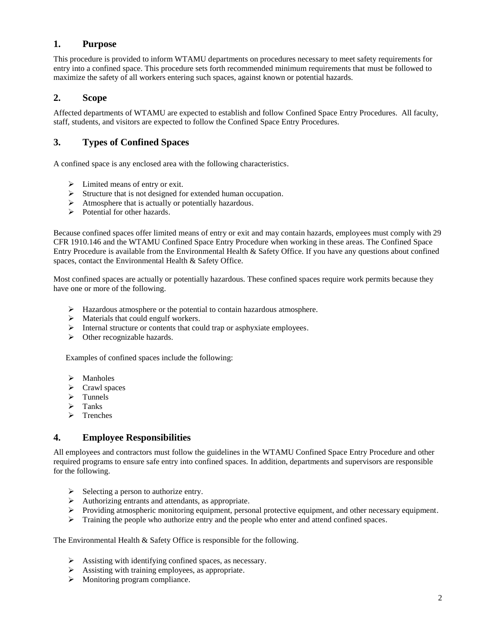### <span id="page-1-0"></span>**1. Purpose**

This procedure is provided to inform WTAMU departments on procedures necessary to meet safety requirements for entry into a confined space. This procedure sets forth recommended minimum requirements that must be followed to maximize the safety of all workers entering such spaces, against known or potential hazards.

## <span id="page-1-1"></span>**2. Scope**

Affected departments of WTAMU are expected to establish and follow Confined Space Entry Procedures. All faculty, staff, students, and visitors are expected to follow the Confined Space Entry Procedures.

## <span id="page-1-2"></span>**3. Types of Confined Spaces**

A confined space is any enclosed area with the following characteristics.

- $\triangleright$  Limited means of entry or exit.
- $\triangleright$  Structure that is not designed for extended human occupation.
- $\triangleright$  Atmosphere that is actually or potentially hazardous.
- $\triangleright$  Potential for other hazards.

Because confined spaces offer limited means of entry or exit and may contain hazards, employees must comply with 29 CFR 1910.146 and the WTAMU Confined Space Entry Procedure when working in these areas. The Confined Space Entry Procedure is available from the Environmental Health & Safety Office. If you have any questions about confined spaces, contact the Environmental Health & Safety Office.

Most confined spaces are actually or potentially hazardous. These confined spaces require work permits because they have one or more of the following.

- $\triangleright$  Hazardous atmosphere or the potential to contain hazardous atmosphere.
- $\triangleright$  Materials that could engulf workers.
- $\triangleright$  Internal structure or contents that could trap or asphyxiate employees.
- $\triangleright$  Other recognizable hazards.

Examples of confined spaces include the following:

- Manholes
- $\triangleright$  Crawl spaces
- > Tunnels
- $\triangleright$  Tanks
- $\triangleright$  Trenches

#### <span id="page-1-3"></span>**4. Employee Responsibilities**

All employees and contractors must follow the guidelines in the WTAMU Confined Space Entry Procedure and other required programs to ensure safe entry into confined spaces. In addition, departments and supervisors are responsible for the following.

- $\triangleright$  Selecting a person to authorize entry.
- $\triangleright$  Authorizing entrants and attendants, as appropriate.
- $\triangleright$  Providing atmospheric monitoring equipment, personal protective equipment, and other necessary equipment.
- $\triangleright$  Training the people who authorize entry and the people who enter and attend confined spaces.

#### The Environmental Health & Safety Office is responsible for the following.

- $\triangleright$  Assisting with identifying confined spaces, as necessary.
- $\triangleright$  Assisting with training employees, as appropriate.
- Monitoring program compliance.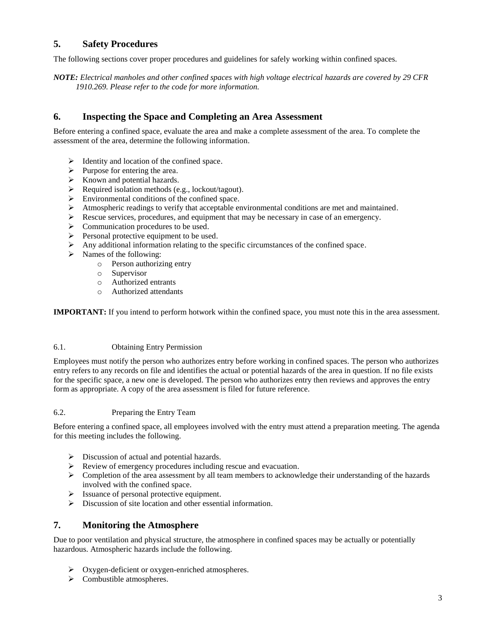## <span id="page-2-0"></span>**5. Safety Procedures**

The following sections cover proper procedures and guidelines for safely working within confined spaces.

*NOTE: Electrical manholes and other confined spaces with high voltage electrical hazards are covered by 29 CFR 1910.269. Please refer to the code for more information.*

#### <span id="page-2-1"></span>**6. Inspecting the Space and Completing an Area Assessment**

Before entering a confined space, evaluate the area and make a complete assessment of the area. To complete the assessment of the area, determine the following information.

- $\triangleright$  Identity and location of the confined space.
- $\triangleright$  Purpose for entering the area.
- $\triangleright$  Known and potential hazards.
- $\triangleright$  Required isolation methods (e.g., lockout/tagout).
- $\triangleright$  Environmental conditions of the confined space.
- $\triangleright$  Atmospheric readings to verify that acceptable environmental conditions are met and maintained.
- $\triangleright$  Rescue services, procedures, and equipment that may be necessary in case of an emergency.
- $\triangleright$  Communication procedures to be used.
- $\triangleright$  Personal protective equipment to be used.
- $\triangleright$  Any additional information relating to the specific circumstances of the confined space.
- Names of the following:
	- o Person authorizing entry
	- o Supervisor
	- o Authorized entrants
	- o Authorized attendants

**IMPORTANT:** If you intend to perform hotwork within the confined space, you must note this in the area assessment.

#### <span id="page-2-2"></span>6.1. Obtaining Entry Permission

Employees must notify the person who authorizes entry before working in confined spaces. The person who authorizes entry refers to any records on file and identifies the actual or potential hazards of the area in question. If no file exists for the specific space, a new one is developed. The person who authorizes entry then reviews and approves the entry form as appropriate. A copy of the area assessment is filed for future reference.

#### <span id="page-2-3"></span>6.2. Preparing the Entry Team

Before entering a confined space, all employees involved with the entry must attend a preparation meeting. The agenda for this meeting includes the following.

- $\triangleright$  Discussion of actual and potential hazards.
- Review of emergency procedures including rescue and evacuation.
- $\triangleright$  Completion of the area assessment by all team members to acknowledge their understanding of the hazards involved with the confined space.
- $\triangleright$  Issuance of personal protective equipment.
- Discussion of site location and other essential information.

#### <span id="page-2-4"></span>**7. Monitoring the Atmosphere**

Due to poor ventilation and physical structure, the atmosphere in confined spaces may be actually or potentially hazardous. Atmospheric hazards include the following.

- $\triangleright$  Oxygen-deficient or oxygen-enriched atmospheres.
- $\triangleright$  Combustible atmospheres.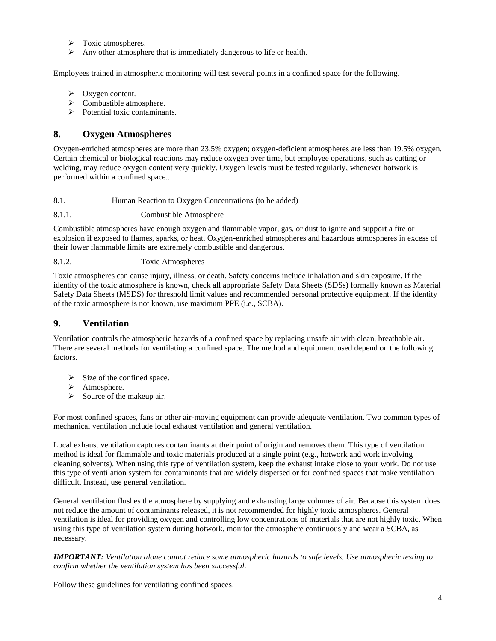- $\triangleright$  Toxic atmospheres.
- $\triangleright$  Any other atmosphere that is immediately dangerous to life or health.

Employees trained in atmospheric monitoring will test several points in a confined space for the following.

- $\triangleright$  Oxygen content.
- $\triangleright$  Combustible atmosphere.
- $\triangleright$  Potential toxic contaminants.

### <span id="page-3-0"></span>**8. Oxygen Atmospheres**

Oxygen-enriched atmospheres are more than 23.5% oxygen; oxygen-deficient atmospheres are less than 19.5% oxygen. Certain chemical or biological reactions may reduce oxygen over time, but employee operations, such as cutting or welding, may reduce oxygen content very quickly. Oxygen levels must be tested regularly, whenever hotwork is performed within a confined space..

<span id="page-3-1"></span>8.1. Human Reaction to Oxygen Concentrations (to be added)

#### <span id="page-3-2"></span>8.1.1. Combustible Atmosphere

Combustible atmospheres have enough oxygen and flammable vapor, gas, or dust to ignite and support a fire or explosion if exposed to flames, sparks, or heat. Oxygen-enriched atmospheres and hazardous atmospheres in excess of their lower flammable limits are extremely combustible and dangerous.

<span id="page-3-3"></span>8.1.2. Toxic Atmospheres

Toxic atmospheres can cause injury, illness, or death. Safety concerns include inhalation and skin exposure. If the identity of the toxic atmosphere is known, check all appropriate Safety Data Sheets (SDSs) formally known as Material Safety Data Sheets (MSDS) for threshold limit values and recommended personal protective equipment. If the identity of the toxic atmosphere is not known, use maximum PPE (i.e., SCBA).

#### <span id="page-3-4"></span>**9. Ventilation**

Ventilation controls the atmospheric hazards of a confined space by replacing unsafe air with clean, breathable air. There are several methods for ventilating a confined space. The method and equipment used depend on the following factors.

- $\triangleright$  Size of the confined space.
- > Atmosphere.
- $\triangleright$  Source of the makeup air.

For most confined spaces, fans or other air-moving equipment can provide adequate ventilation. Two common types of mechanical ventilation include local exhaust ventilation and general ventilation.

Local exhaust ventilation captures contaminants at their point of origin and removes them. This type of ventilation method is ideal for flammable and toxic materials produced at a single point (e.g., hotwork and work involving cleaning solvents). When using this type of ventilation system, keep the exhaust intake close to your work. Do not use this type of ventilation system for contaminants that are widely dispersed or for confined spaces that make ventilation difficult. Instead, use general ventilation.

General ventilation flushes the atmosphere by supplying and exhausting large volumes of air. Because this system does not reduce the amount of contaminants released, it is not recommended for highly toxic atmospheres. General ventilation is ideal for providing oxygen and controlling low concentrations of materials that are not highly toxic. When using this type of ventilation system during hotwork, monitor the atmosphere continuously and wear a SCBA, as necessary.

*IMPORTANT: Ventilation alone cannot reduce some atmospheric hazards to safe levels. Use atmospheric testing to confirm whether the ventilation system has been successful.*

Follow these guidelines for ventilating confined spaces.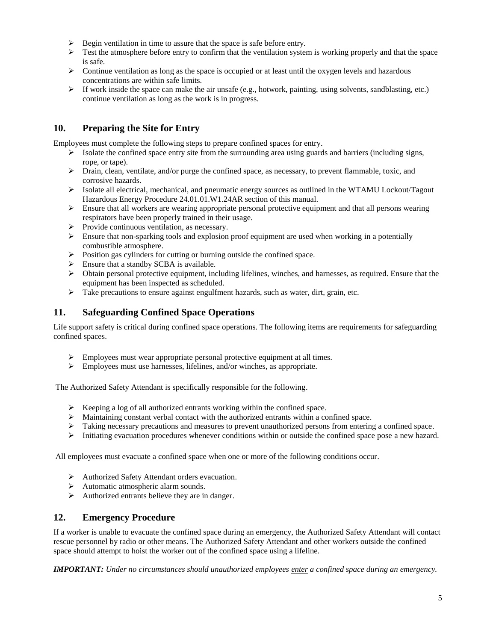- $\triangleright$  Begin ventilation in time to assure that the space is safe before entry.
- $\triangleright$  Test the atmosphere before entry to confirm that the ventilation system is working properly and that the space is safe.
- $\triangleright$  Continue ventilation as long as the space is occupied or at least until the oxygen levels and hazardous concentrations are within safe limits.
- $\triangleright$  If work inside the space can make the air unsafe (e.g., hotwork, painting, using solvents, sandblasting, etc.) continue ventilation as long as the work is in progress.

## <span id="page-4-0"></span>**10. Preparing the Site for Entry**

Employees must complete the following steps to prepare confined spaces for entry.

- $\triangleright$  Isolate the confined space entry site from the surrounding area using guards and barriers (including signs, rope, or tape).
- $\triangleright$  Drain, clean, ventilate, and/or purge the confined space, as necessary, to prevent flammable, toxic, and corrosive hazards.
- $\triangleright$  Isolate all electrical, mechanical, and pneumatic energy sources as outlined in the WTAMU Lockout/Tagout Hazardous Energy Procedure 24.01.01.W1.24AR section of this manual.
- $\triangleright$  Ensure that all workers are wearing appropriate personal protective equipment and that all persons wearing respirators have been properly trained in their usage.
- $\triangleright$  Provide continuous ventilation, as necessary.
- $\triangleright$  Ensure that non-sparking tools and explosion proof equipment are used when working in a potentially combustible atmosphere.
- $\triangleright$  Position gas cylinders for cutting or burning outside the confined space.
- $\triangleright$  Ensure that a standby SCBA is available.
- $\triangleright$  Obtain personal protective equipment, including lifelines, winches, and harnesses, as required. Ensure that the equipment has been inspected as scheduled.
- $\triangleright$  Take precautions to ensure against engulfment hazards, such as water, dirt, grain, etc.

#### <span id="page-4-1"></span>**11. Safeguarding Confined Space Operations**

Life support safety is critical during confined space operations. The following items are requirements for safeguarding confined spaces.

- $\triangleright$  Employees must wear appropriate personal protective equipment at all times.
- $\triangleright$  Employees must use harnesses, lifelines, and/or winches, as appropriate.

The Authorized Safety Attendant is specifically responsible for the following.

- $\triangleright$  Keeping a log of all authorized entrants working within the confined space.
- $\triangleright$  Maintaining constant verbal contact with the authorized entrants within a confined space.
- $\triangleright$  Taking necessary precautions and measures to prevent unauthorized persons from entering a confined space.
- $\triangleright$  Initiating evacuation procedures whenever conditions within or outside the confined space pose a new hazard.

All employees must evacuate a confined space when one or more of the following conditions occur.

- Authorized Safety Attendant orders evacuation.
- Automatic atmospheric alarm sounds.
- $\triangleright$  Authorized entrants believe they are in danger.

#### <span id="page-4-2"></span>**12. Emergency Procedure**

If a worker is unable to evacuate the confined space during an emergency, the Authorized Safety Attendant will contact rescue personnel by radio or other means. The Authorized Safety Attendant and other workers outside the confined space should attempt to hoist the worker out of the confined space using a lifeline.

*IMPORTANT: Under no circumstances should unauthorized employees enter a confined space during an emergency.*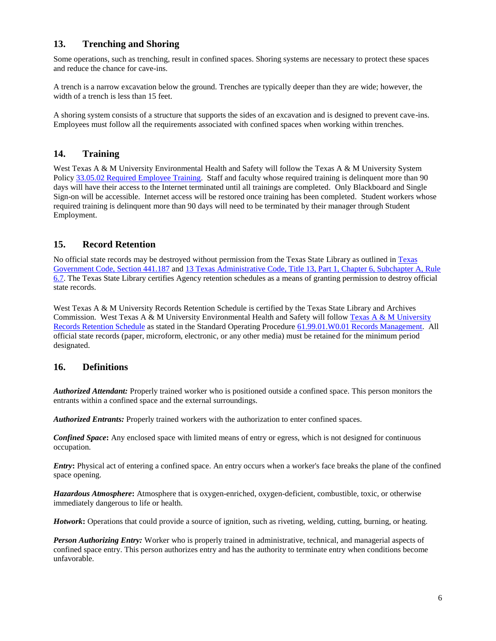## <span id="page-5-0"></span>**13. Trenching and Shoring**

Some operations, such as trenching, result in confined spaces. Shoring systems are necessary to protect these spaces and reduce the chance for cave-ins.

A trench is a narrow excavation below the ground. Trenches are typically deeper than they are wide; however, the width of a trench is less than 15 feet.

A shoring system consists of a structure that supports the sides of an excavation and is designed to prevent cave-ins. Employees must follow all the requirements associated with confined spaces when working within trenches.

### <span id="page-5-1"></span>**14. Training**

West Texas A & M University Environmental Health and Safety will follow the Texas A & M University System Policy [33.05.02 Required Employee Training.](http://policies.tamus.edu/33-05-02.pdf) Staff and faculty whose required training is delinquent more than 90 days will have their access to the Internet terminated until all trainings are completed. Only Blackboard and Single Sign-on will be accessible. Internet access will be restored once training has been completed. Student workers whose required training is delinquent more than 90 days will need to be terminated by their manager through Student Employment.

#### <span id="page-5-2"></span>**15. Record Retention**

No official state records may be destroyed without permission from the Texas State Library as outlined i[n Texas](http://www.statutes.legis.state.tx.us/?link=GV)  [Government Code, Section 441.187](http://www.statutes.legis.state.tx.us/?link=GV) and [13 Texas Administrative Code, Title 13, Part 1, Chapter 6, Subchapter A, Rule](http://info.sos.state.tx.us/pls/pub/readtac$ext.TacPage?sl=R&app=9&p_dir=&p_rloc=&p_tloc=&p_ploc=&pg=1&p_tac=&ti=13&pt=1&ch=6&rl=7U)  [6.7.](http://info.sos.state.tx.us/pls/pub/readtac$ext.TacPage?sl=R&app=9&p_dir=&p_rloc=&p_tloc=&p_ploc=&pg=1&p_tac=&ti=13&pt=1&ch=6&rl=7U) The Texas State Library certifies Agency retention schedules as a means of granting permission to destroy official state records.

West Texas A & M University Records Retention Schedule is certified by the Texas State Library and Archives Commission. West Texas A & M University Environmental Health and Safety will follow [Texas A & M University](http://www.wtamu.edu/webres/File/Risk%20Management/System-Records-Retention-Schedule-Dec2012.pdf)  [Records Retention Schedule](http://www.wtamu.edu/webres/File/Risk%20Management/System-Records-Retention-Schedule-Dec2012.pdf) as stated in the Standard Operating Procedure [61.99.01.W0.01 Records Management.](http://www.wtamu.edu/webres/File/Risk%20Management/61.99.01.W0.01_PROCEDURE_Records%20Management_FINAL%20SIGNED.pdf) All official state records (paper, microform, electronic, or any other media) must be retained for the minimum period designated.

#### <span id="page-5-3"></span>**16. Definitions**

*Authorized Attendant:* Properly trained worker who is positioned outside a confined space. This person monitors the entrants within a confined space and the external surroundings.

*Authorized Entrants:* Properly trained workers with the authorization to enter confined spaces.

*Confined Space***:** Any enclosed space with limited means of entry or egress, which is not designed for continuous occupation.

*Entry***:** Physical act of entering a confined space. An entry occurs when a worker's face breaks the plane of the confined space opening.

*Hazardous Atmosphere***:** Atmosphere that is oxygen-enriched, oxygen-deficient, combustible, toxic, or otherwise immediately dangerous to life or health.

*Hotwork***:** Operations that could provide a source of ignition, such as riveting, welding, cutting, burning, or heating.

*Person Authorizing Entry:* Worker who is properly trained in administrative, technical, and managerial aspects of confined space entry. This person authorizes entry and has the authority to terminate entry when conditions become unfavorable.